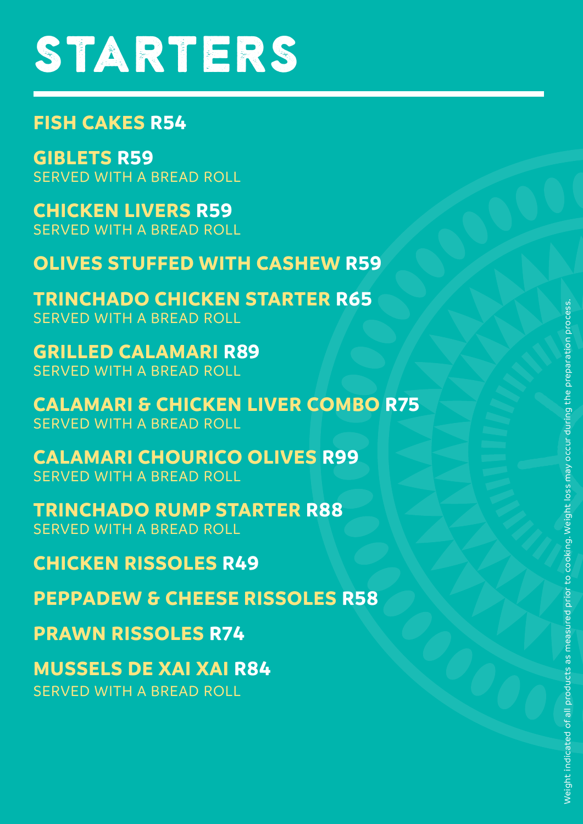## **STARTERS**

### $)$  $B.$  $$5$

 $*$  5 SERVED WITH A BREAD ROLL

 $+4$ SERVED WITH A BREAD ROLL

7 and 20 SERVED WITH A BREAD ROLL

 $\leftarrow$ SERVED WITH A BREAD ROLL

 $\bullet$ SERVED WITH A BREAD ROLL

&\$/\$0\$5,&+285,&22/,9(65 SERVED WITH A BREAD ROLL

75,1&+\$'25803 \$57(567 5 SERVED WITH A BREAD ROLL





086(/6'(;\$,;\$,5

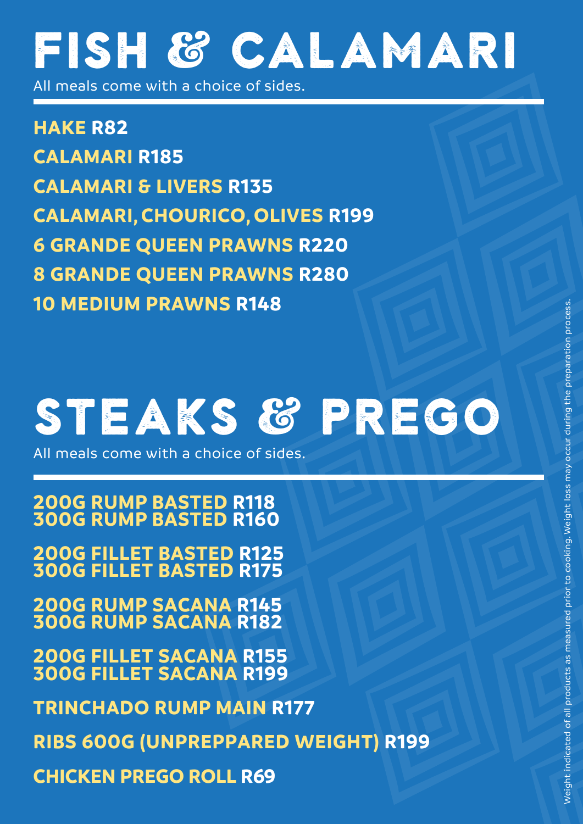## Fish & Calamari

All meals come with a choice of sides.

**HAKE R82 HAKE DOUBLE R112 CALAMARI R185 CALAMARI & LIVERS R135 CALAMARI, CHOURICO, OLIVES R199 6 GRANDE QUEEN PRAWNS R220 8 GRANDE QUEEN PRAWNS R280 10 MEDIUM PRAWNS R148**

## Espetada

All meals come with a choice of sides.

**CHICKEN R110 BEEF 300G RUMP R169 | FILLET R189 CHICKEN & PRAWN R169 CALAMARI R199**



All meals come with a choice of sides

**TRINCHADO RUMP MAIN R177 TRINCHADO FILLET MAIN R195 RIBS 600G (UNPREPPARED WEIGHT) R199 CHICKEN PREGO ROLL R69**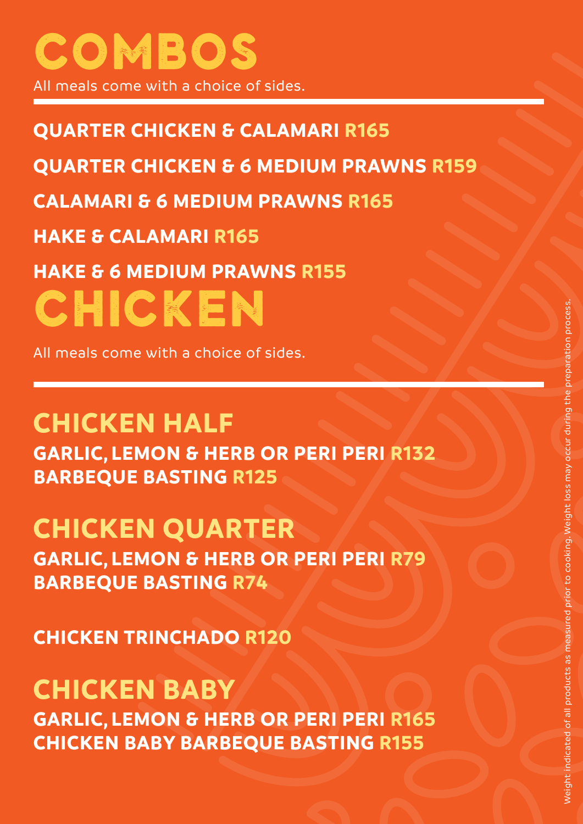## Combos & platters

All meals come with a choice of sides.

**QUARTER CHICKEN & CALAMARI R165 QUARTER CHICKEN & 6 MEDIUM PRAWNS R159 CALAMARI & 6 MEDIUM PRAWNS R165 HAKE & CALAMARI R165 HAKE & 6 MEDIUM PRAWNS R155 SHARING PLATTER FOR 2 R420**

Beef espetada, half chicken, calamari & 6 medium prawns.

### **SEAFOOD PLATTER FOR 2 R365**

Calamari, 6 medium prawns, grilled hake & fried squid heads.

# CHICKEN

All meals come with a choice of sides.

### **CHICKEN TRINCHADO R120 CHICKEN HALF**

**GARLIC, LEMON & HERB OR PERI PERI R132 BARBEQUE BASTING R125 CHICKEN QUARTER** 

**GARLIC, LEMON & HERB OR PERI PERI R79 BARBEQUE BASTING R74 CHICKEN BABY GARLIC, LEMON & HERB OR PERI PERI R165**

**BABY CHICKEN BARBEQUE BASTING R155**